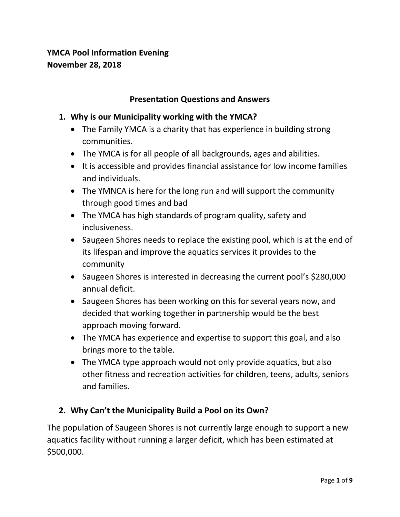## **YMCA Pool Information Evening November 28, 2018**

#### **Presentation Questions and Answers**

#### **1. Why is our Municipality working with the YMCA?**

- The Family YMCA is a charity that has experience in building strong communities.
- The YMCA is for all people of all backgrounds, ages and abilities.
- It is accessible and provides financial assistance for low income families and individuals.
- The YMNCA is here for the long run and will support the community through good times and bad
- The YMCA has high standards of program quality, safety and inclusiveness.
- Saugeen Shores needs to replace the existing pool, which is at the end of its lifespan and improve the aquatics services it provides to the community
- Saugeen Shores is interested in decreasing the current pool's \$280,000 annual deficit.
- Saugeen Shores has been working on this for several years now, and decided that working together in partnership would be the best approach moving forward.
- The YMCA has experience and expertise to support this goal, and also brings more to the table.
- The YMCA type approach would not only provide aquatics, but also other fitness and recreation activities for children, teens, adults, seniors and families.

#### **2. Why Can't the Municipality Build a Pool on its Own?**

The population of Saugeen Shores is not currently large enough to support a new aquatics facility without running a larger deficit, which has been estimated at \$500,000.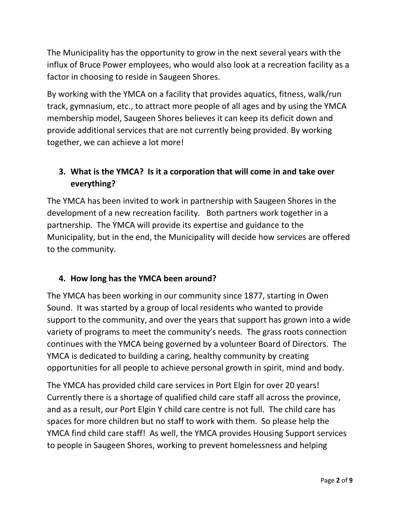The Municipality has the opportunity to grow in the next several years with the influx of Bruce Power employees, who would also look at a recreation facility as a factor in choosing to reside in Saugeen Shores.

By working with the YMCA on a facility that provides aquatics, fitness, walk/run track, gymnasium, etc., to attract more people of all ages and by using the YMCA membership model, Saugeen Shores believes it can keep its deficit down and provide additional services that are not currently being provided. By working together, we can achieve a lot more!

# **3. What is the YMCA? Is it a corporation that will come in and take over everything?**

The YMCA has been invited to work in partnership with Saugeen Shores in the development of a new recreation facility. Both partners work together in a partnership. The YMCA will provide its expertise and guidance to the Municipality, but in the end, the Municipality will decide how services are offered to the community.

# **4. How long has the YMCA been around?**

The YMCA has been working in our community since 1877, starting in Owen Sound. It was started by a group of local residents who wanted to provide support to the community, and over the years that support has grown into a wide variety of programs to meet the community's needs. The grass roots connection continues with the YMCA being governed by a volunteer Board of Directors. The YMCA is dedicated to building a caring, healthy community by creating opportunities for all people to achieve personal growth in spirit, mind and body.

The YMCA has provided child care services in Port Elgin for over 20 years! Currently there is a shortage of qualified child care staff all across the province, and as a result, our Port Elgin Y child care centre is not full. The child care has spaces for more children but no staff to work with them. So please help the YMCA find child care staff! As well, the YMCA provides Housing Support services to people in Saugeen Shores, working to prevent homelessness and helping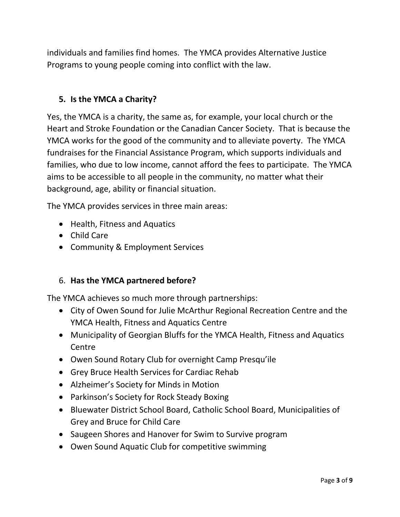individuals and families find homes. The YMCA provides Alternative Justice Programs to young people coming into conflict with the law.

### **5. Is the YMCA a Charity?**

Yes, the YMCA is a charity, the same as, for example, your local church or the Heart and Stroke Foundation or the Canadian Cancer Society. That is because the YMCA works for the good of the community and to alleviate poverty. The YMCA fundraises for the Financial Assistance Program, which supports individuals and families, who due to low income, cannot afford the fees to participate. The YMCA aims to be accessible to all people in the community, no matter what their background, age, ability or financial situation.

The YMCA provides services in three main areas:

- Health, Fitness and Aquatics
- Child Care
- Community & Employment Services

#### 6. **Has the YMCA partnered before?**

The YMCA achieves so much more through partnerships:

- City of Owen Sound for Julie McArthur Regional Recreation Centre and the YMCA Health, Fitness and Aquatics Centre
- Municipality of Georgian Bluffs for the YMCA Health, Fitness and Aquatics **Centre**
- Owen Sound Rotary Club for overnight Camp Presqu'ile
- Grey Bruce Health Services for Cardiac Rehab
- Alzheimer's Society for Minds in Motion
- Parkinson's Society for Rock Steady Boxing
- Bluewater District School Board, Catholic School Board, Municipalities of Grey and Bruce for Child Care
- Saugeen Shores and Hanover for Swim to Survive program
- Owen Sound Aquatic Club for competitive swimming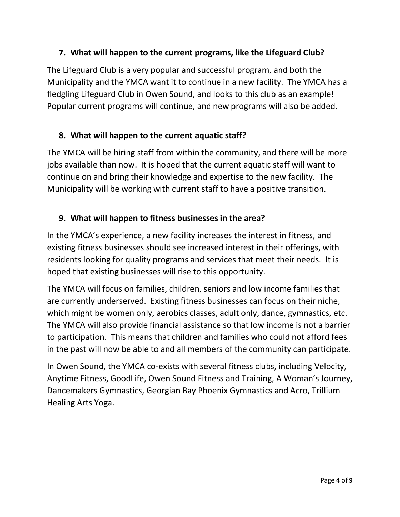### **7. What will happen to the current programs, like the Lifeguard Club?**

The Lifeguard Club is a very popular and successful program, and both the Municipality and the YMCA want it to continue in a new facility. The YMCA has a fledgling Lifeguard Club in Owen Sound, and looks to this club as an example! Popular current programs will continue, and new programs will also be added.

### **8. What will happen to the current aquatic staff?**

The YMCA will be hiring staff from within the community, and there will be more jobs available than now. It is hoped that the current aquatic staff will want to continue on and bring their knowledge and expertise to the new facility. The Municipality will be working with current staff to have a positive transition.

### **9. What will happen to fitness businesses in the area?**

In the YMCA's experience, a new facility increases the interest in fitness, and existing fitness businesses should see increased interest in their offerings, with residents looking for quality programs and services that meet their needs. It is hoped that existing businesses will rise to this opportunity.

The YMCA will focus on families, children, seniors and low income families that are currently underserved. Existing fitness businesses can focus on their niche, which might be women only, aerobics classes, adult only, dance, gymnastics, etc. The YMCA will also provide financial assistance so that low income is not a barrier to participation. This means that children and families who could not afford fees in the past will now be able to and all members of the community can participate.

In Owen Sound, the YMCA co-exists with several fitness clubs, including Velocity, Anytime Fitness, GoodLife, Owen Sound Fitness and Training, A Woman's Journey, Dancemakers Gymnastics, Georgian Bay Phoenix Gymnastics and Acro, Trillium Healing Arts Yoga.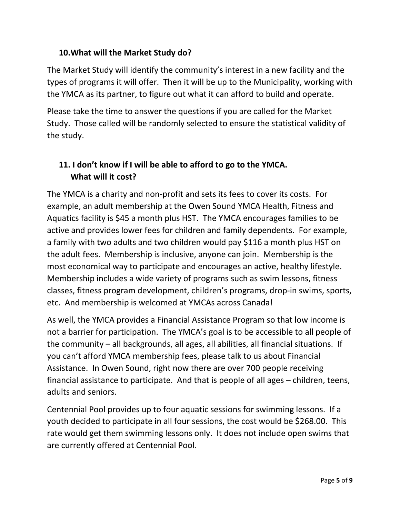### **10.What will the Market Study do?**

The Market Study will identify the community's interest in a new facility and the types of programs it will offer. Then it will be up to the Municipality, working with the YMCA as its partner, to figure out what it can afford to build and operate.

Please take the time to answer the questions if you are called for the Market Study. Those called will be randomly selected to ensure the statistical validity of the study.

# **11. I don't know if I will be able to afford to go to the YMCA. What will it cost?**

The YMCA is a charity and non-profit and sets its fees to cover its costs. For example, an adult membership at the Owen Sound YMCA Health, Fitness and Aquatics facility is \$45 a month plus HST. The YMCA encourages families to be active and provides lower fees for children and family dependents. For example, a family with two adults and two children would pay \$116 a month plus HST on the adult fees. Membership is inclusive, anyone can join. Membership is the most economical way to participate and encourages an active, healthy lifestyle. Membership includes a wide variety of programs such as swim lessons, fitness classes, fitness program development, children's programs, drop-in swims, sports, etc. And membership is welcomed at YMCAs across Canada!

As well, the YMCA provides a Financial Assistance Program so that low income is not a barrier for participation. The YMCA's goal is to be accessible to all people of the community – all backgrounds, all ages, all abilities, all financial situations. If you can't afford YMCA membership fees, please talk to us about Financial Assistance. In Owen Sound, right now there are over 700 people receiving financial assistance to participate. And that is people of all ages – children, teens, adults and seniors.

Centennial Pool provides up to four aquatic sessions for swimming lessons. If a youth decided to participate in all four sessions, the cost would be \$268.00. This rate would get them swimming lessons only. It does not include open swims that are currently offered at Centennial Pool.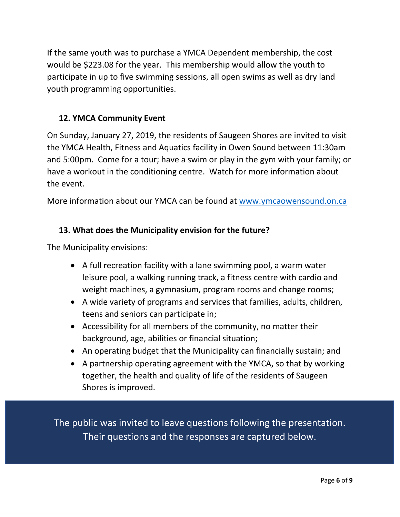If the same youth was to purchase a YMCA Dependent membership, the cost would be \$223.08 for the year. This membership would allow the youth to participate in up to five swimming sessions, all open swims as well as dry land youth programming opportunities.

### **12. YMCA Community Event**

On Sunday, January 27, 2019, the residents of Saugeen Shores are invited to visit the YMCA Health, Fitness and Aquatics facility in Owen Sound between 11:30am and 5:00pm. Come for a tour; have a swim or play in the gym with your family; or have a workout in the conditioning centre. Watch for more information about the event.

More information about our YMCA can be found at [www.ymcaowensound.on.ca](http://www.ymcaowensound.on.ca/)

### **13. What does the Municipality envision for the future?**

The Municipality envisions:

- A full recreation facility with a lane swimming pool, a warm water leisure pool, a walking running track, a fitness centre with cardio and weight machines, a gymnasium, program rooms and change rooms;
- A wide variety of programs and services that families, adults, children, teens and seniors can participate in;
- Accessibility for all members of the community, no matter their background, age, abilities or financial situation;
- An operating budget that the Municipality can financially sustain; and
- A partnership operating agreement with the YMCA, so that by working together, the health and quality of life of the residents of Saugeen Shores is improved.

The public was invited to leave questions following the presentation. Their questions and the responses are captured below.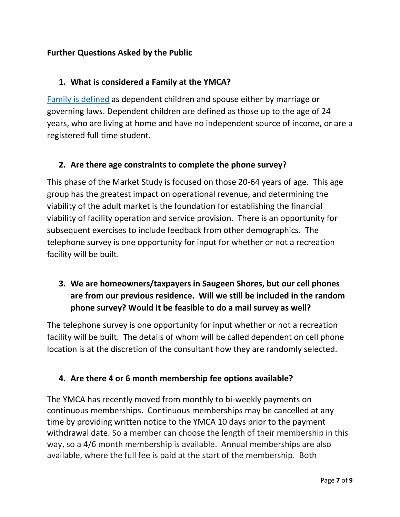### **Further Questions Asked by the Public**

### **1. What is considered a Family at the YMCA?**

[Family is defined](http://www.ymcaowensound.on.ca/Aquatics-Health-Fitness-Recreation/?pageid=100) as dependent children and spouse either by marriage or governing laws. Dependent children are defined as those up to the age of 24 years, who are living at home and have no independent source of income, or are a registered full time student.

### **2. Are there age constraints to complete the phone survey?**

This phase of the Market Study is focused on those 20-64 years of age. This age group has the greatest impact on operational revenue, and determining the viability of the adult market is the foundation for establishing the financial viability of facility operation and service provision. There is an opportunity for subsequent exercises to include feedback from other demographics. The telephone survey is one opportunity for input for whether or not a recreation facility will be built.

# **3. We are homeowners/taxpayers in Saugeen Shores, but our cell phones are from our previous residence. Will we still be included in the random phone survey? Would it be feasible to do a mail survey as well?**

The telephone survey is one opportunity for input whether or not a recreation facility will be built. The details of whom will be called dependent on cell phone location is at the discretion of the consultant how they are randomly selected.

### **4. Are there 4 or 6 month membership fee options available?**

The YMCA has recently moved from monthly to bi-weekly payments on continuous memberships. Continuous memberships may be cancelled at any time by providing written notice to the YMCA 10 days prior to the payment withdrawal date. So a member can choose the length of their membership in this way, so a 4/6 month membership is available. Annual memberships are also available, where the full fee is paid at the start of the membership. Both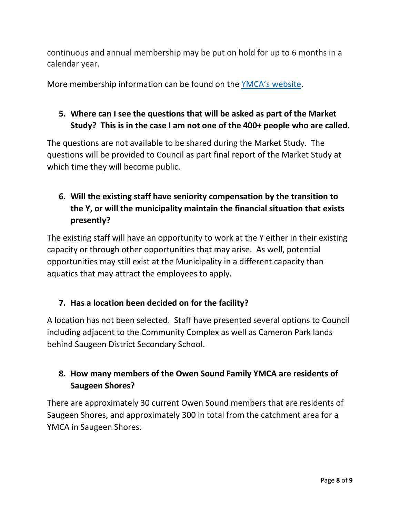continuous and annual membership may be put on hold for up to 6 months in a calendar year.

More membership information can be found on the YMCA'[s website.](http://www.ymcaowensound.on.ca/Aquatics-Health-Fitness-Recreation/?pageid=100)

# **5. Where can I see the questions that will be asked as part of the Market Study? This is in the case I am not one of the 400+ people who are called.**

The questions are not available to be shared during the Market Study. The questions will be provided to Council as part final report of the Market Study at which time they will become public.

# **6. Will the existing staff have seniority compensation by the transition to the Y, or will the municipality maintain the financial situation that exists presently?**

The existing staff will have an opportunity to work at the Y either in their existing capacity or through other opportunities that may arise. As well, potential opportunities may still exist at the Municipality in a different capacity than aquatics that may attract the employees to apply.

### **7. Has a location been decided on for the facility?**

A location has not been selected. Staff have presented several options to Council including adjacent to the Community Complex as well as Cameron Park lands behind Saugeen District Secondary School.

# **8. How many members of the Owen Sound Family YMCA are residents of Saugeen Shores?**

There are approximately 30 current Owen Sound members that are residents of Saugeen Shores, and approximately 300 in total from the catchment area for a YMCA in Saugeen Shores.